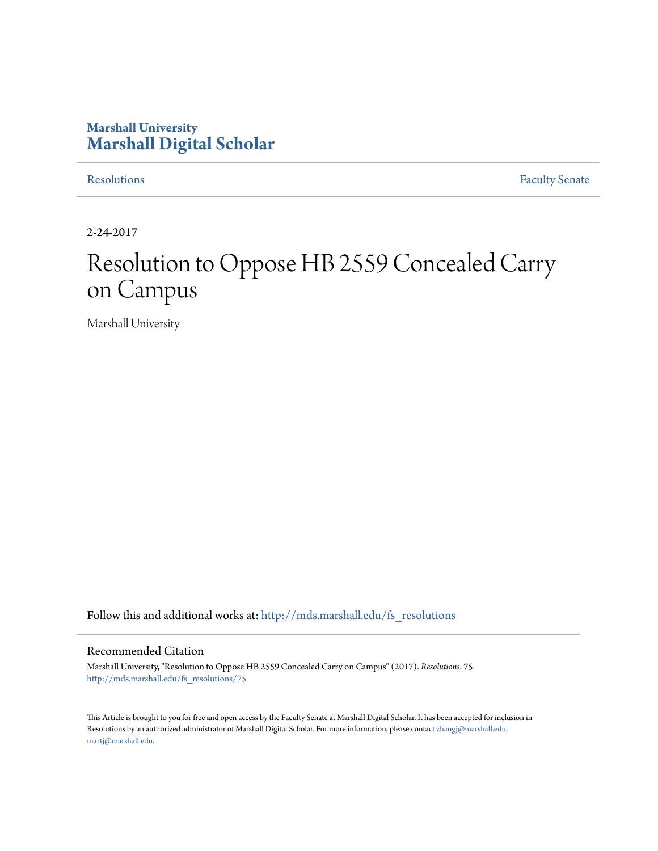## **Marshall University [Marshall Digital Scholar](http://mds.marshall.edu?utm_source=mds.marshall.edu%2Ffs_resolutions%2F75&utm_medium=PDF&utm_campaign=PDFCoverPages)**

[Resolutions](http://mds.marshall.edu/fs_resolutions?utm_source=mds.marshall.edu%2Ffs_resolutions%2F75&utm_medium=PDF&utm_campaign=PDFCoverPages) [Faculty Senate](http://mds.marshall.edu/fs?utm_source=mds.marshall.edu%2Ffs_resolutions%2F75&utm_medium=PDF&utm_campaign=PDFCoverPages)

2-24-2017

# Resolution to Oppose HB 2559 Concealed Carry on Campus

Marshall University

Follow this and additional works at: [http://mds.marshall.edu/fs\\_resolutions](http://mds.marshall.edu/fs_resolutions?utm_source=mds.marshall.edu%2Ffs_resolutions%2F75&utm_medium=PDF&utm_campaign=PDFCoverPages)

#### Recommended Citation

Marshall University, "Resolution to Oppose HB 2559 Concealed Carry on Campus" (2017). *Resolutions*. 75. [http://mds.marshall.edu/fs\\_resolutions/75](http://mds.marshall.edu/fs_resolutions/75?utm_source=mds.marshall.edu%2Ffs_resolutions%2F75&utm_medium=PDF&utm_campaign=PDFCoverPages)

This Article is brought to you for free and open access by the Faculty Senate at Marshall Digital Scholar. It has been accepted for inclusion in Resolutions by an authorized administrator of Marshall Digital Scholar. For more information, please contact [zhangj@marshall.edu,](mailto:zhangj@marshall.edu,%20martj@marshall.edu) [martj@marshall.edu](mailto:zhangj@marshall.edu,%20martj@marshall.edu).